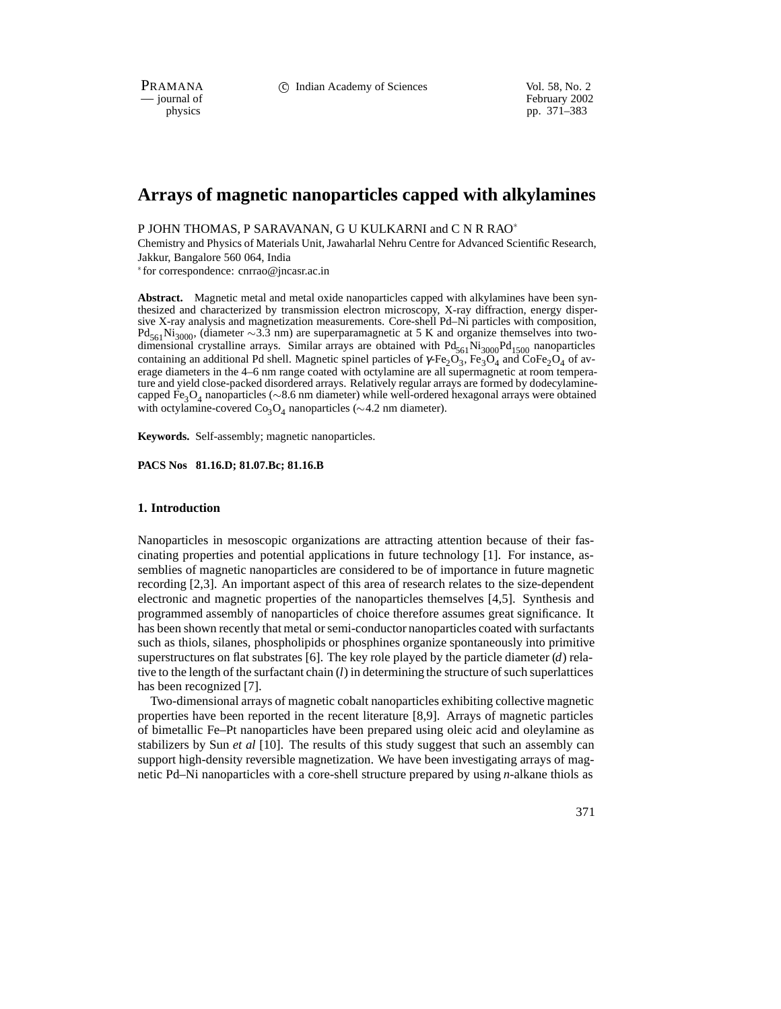PRAMANA 
compared in the C Indian Academy of Sciences Vol. 58, No. 2<br>
compared in the compared of the compared of the compared of the compared of the compared of the compared of the compared of the compared of the compared

physics<br>
physics<br>
pp. 371–383 pp. 371–383

# **Arrays of magnetic nanoparticles capped with alkylamines**

P JOHN THOMAS, P SARAVANAN, G U KULKARNI and C N R RAO

Chemistry and Physics of Materials Unit, Jawaharlal Nehru Centre for Advanced Scientific Research, Jakkur, Bangalore 560 064, India

for correspondence: cnrrao@jncasr.ac.in

**Abstract.** Magnetic metal and metal oxide nanoparticles capped with alkylamines have been synthesized and characterized by transmission electron microscopy, X-ray diffraction, energy dispersive X-ray analysis and magnetization measurements. Core-shell Pd–Ni particles with composition,  $Pd_{561}Ni_{3000}$ , (diameter ~3.3 nm) are superparamagnetic at 5 K and organize themselves into twodimensional crystalline arrays. Similar arrays are obtained with  $Pd_{561}Ni_{3000}Pd_{1500}$  nanoparticles containing an additional Pd shell. Magnetic spinel particles of  $\gamma$ -Fe<sub>2</sub>O<sub>3</sub>, Fe<sub>3</sub>O<sub>4</sub> and CoFe<sub>2</sub>O<sub>4</sub> of average diameters in the 4–6 nm range coated with octylamine are all supermagnetic at room temperature and yield close-packed disordered arrays. Relatively regular arrays are formed by dodecylaminecapped Fe<sub>3</sub>O<sub>4</sub> nanoparticles ( $\sim$ 8.6 nm diameter) while well-ordered hexagonal arrays were obtained with octylamine-covered  $Co_3O_4$  nanoparticles ( $\sim$  4.2 nm diameter).

**Keywords.** Self-assembly; magnetic nanoparticles.

**PACS Nos 81.16.D; 81.07.Bc; 81.16.B**

### **1. Introduction**

Nanoparticles in mesoscopic organizations are attracting attention because of their fascinating properties and potential applications in future technology [1]. For instance, assemblies of magnetic nanoparticles are considered to be of importance in future magnetic recording [2,3]. An important aspect of this area of research relates to the size-dependent electronic and magnetic properties of the nanoparticles themselves [4,5]. Synthesis and programmed assembly of nanoparticles of choice therefore assumes great significance. It has been shown recently that metal or semi-conductor nanoparticles coated with surfactants such as thiols, silanes, phospholipids or phosphines organize spontaneously into primitive superstructures on flat substrates [6]. The key role played by the particle diameter (*d*) relative to the length of the surfactant chain (*l*) in determining the structure of such superlattices has been recognized [7].

Two-dimensional arrays of magnetic cobalt nanoparticles exhibiting collective magnetic properties have been reported in the recent literature [8,9]. Arrays of magnetic particles of bimetallic Fe–Pt nanoparticles have been prepared using oleic acid and oleylamine as stabilizers by Sun *et al* [10]. The results of this study suggest that such an assembly can support high-density reversible magnetization. We have been investigating arrays of magnetic Pd–Ni nanoparticles with a core-shell structure prepared by using *n*-alkane thiols as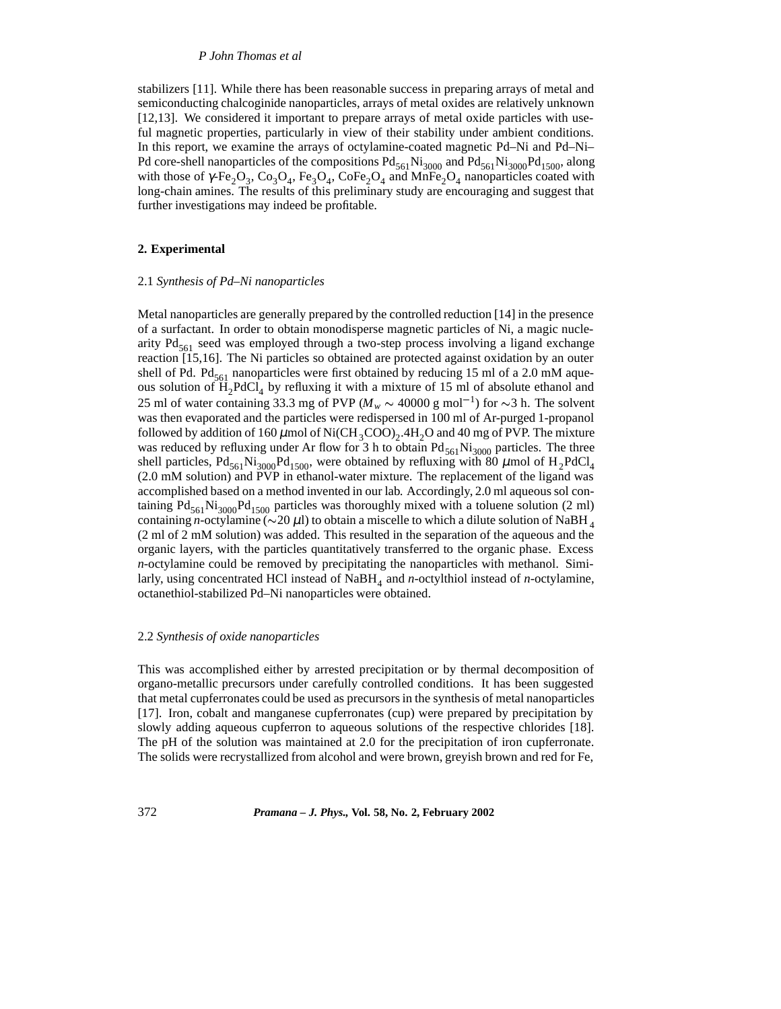### *P John Thomas et al*

stabilizers [11]. While there has been reasonable success in preparing arrays of metal and semiconducting chalcoginide nanoparticles, arrays of metal oxides are relatively unknown [12,13]. We considered it important to prepare arrays of metal oxide particles with useful magnetic properties, particularly in view of their stability under ambient conditions. In this report, we examine the arrays of octylamine-coated magnetic Pd–Ni and Pd–Ni– Pd core-shell nanoparticles of the compositions  $Pd_{561}Ni_{3000}$  and  $Pd_{561}Ni_{3000}Pd_{1500}$ , along with those of  $\gamma$ -Fe<sub>2</sub>O<sub>3</sub>, Co<sub>3</sub>O<sub>4</sub>, Fe<sub>3</sub>O<sub>4</sub>, CoFe<sub>2</sub>O<sub>4</sub> and MnFe<sub>2</sub>O<sub>4</sub> nanoparticles coated with long-chain amines. The results of this preliminary study are encouraging and suggest that further investigations may indeed be profitable.

### **2. Experimental**

#### 2.1 *Synthesis of Pd–Ni nanoparticles*

Metal nanoparticles are generally prepared by the controlled reduction [14] in the presence of a surfactant. In order to obtain monodisperse magnetic particles of Ni, a magic nuclearity  $Pd_{561}$  seed was employed through a two-step process involving a ligand exchange reaction [15,16]. The Ni particles so obtained are protected against oxidation by an outer shell of Pd. Pd<sub>561</sub> nanoparticles were first obtained by reducing 15 ml of a 2.0 mM aqueous solution of  $H_2PdCl_4$  by refluxing it with a mixture of 15 ml of absolute ethanol and 25 ml of water containing 33.3 mg of PVP ( $M_w \sim 40000$  g mol<sup>-1</sup>) for  $\sim$ 3 h. The solvent was then evaporated and the particles were redispersed in 100 ml of Ar-purged 1-propanol followed by addition of 160  $\mu$ mol of Ni(CH<sub>3</sub>COO)<sub>2</sub>.4H<sub>2</sub>O and 40 mg of PVP. The mixture was reduced by refluxing under Ar flow for 3 h to obtain  $Pd_{561}Ni_{3000}$  particles. The three shell particles,  $Pd_{561}Ni_{3000}Pd_{1500}$ , were obtained by refluxing with 80  $\mu$ mol of  $H_2PdCl_4$ (2.0 mM solution) and PVP in ethanol-water mixture. The replacement of the ligand was accomplished based on a method invented in our lab. Accordingly, 2.0 ml aqueous sol containing  $Pd_{561}Ni_{3000}Pd_{1500}$  particles was thoroughly mixed with a toluene solution (2 ml) containing *n*-octylamine ( $\sim$ 20  $\mu$ l) to obtain a miscelle to which a dilute solution of NaBH  $_4$ (2 ml of 2 mM solution) was added. This resulted in the separation of the aqueous and the organic layers, with the particles quantitatively transferred to the organic phase. Excess *n*-octylamine could be removed by precipitating the nanoparticles with methanol. Similarly, using concentrated HCl instead of NaBH<sub>4</sub> and *n*-octylthiol instead of *n*-octylamine, octanethiol-stabilized Pd–Ni nanoparticles were obtained.

### 2.2 *Synthesis of oxide nanoparticles*

This was accomplished either by arrested precipitation or by thermal decomposition of organo-metallic precursors under carefully controlled conditions. It has been suggested that metal cupferronates could be used as precursors in the synthesis of metal nanoparticles [17]. Iron, cobalt and manganese cupferronates (cup) were prepared by precipitation by slowly adding aqueous cupferron to aqueous solutions of the respective chlorides [18]. The pH of the solution was maintained at 2.0 for the precipitation of iron cupferronate. The solids were recrystallized from alcohol and were brown, greyish brown and red for Fe,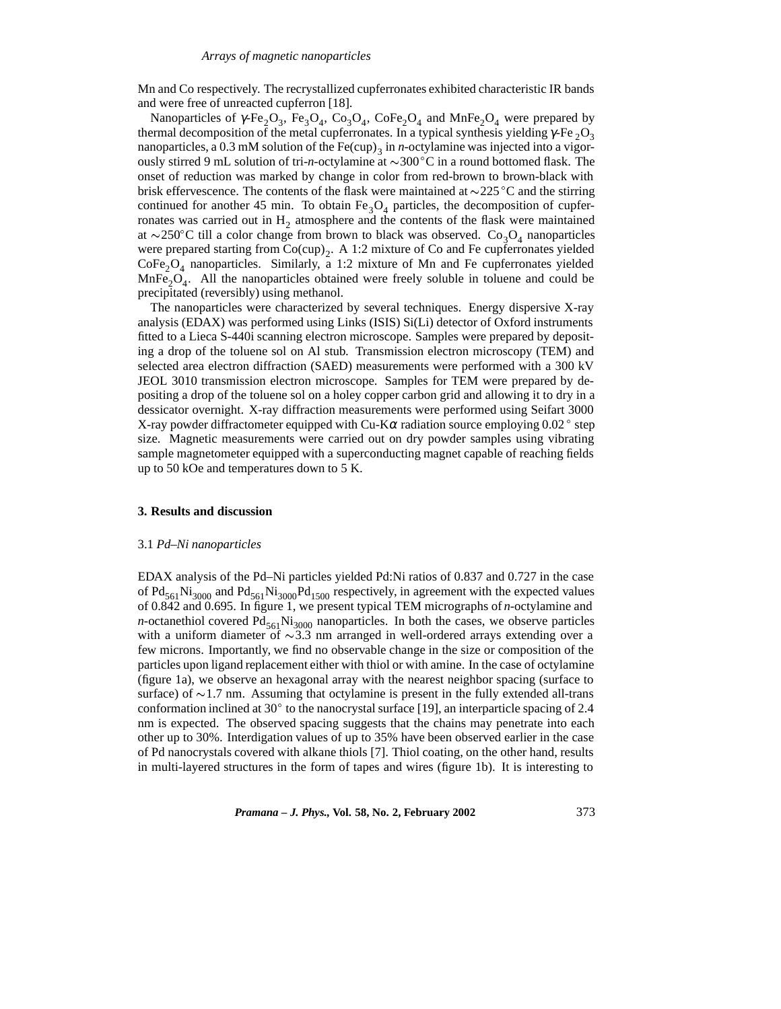Mn and Co respectively. The recrystallized cupferronates exhibited characteristic IR bands and were free of unreacted cupferron [18].

Nanoparticles of  $\gamma$ -Fe<sub>2</sub>O<sub>3</sub>, Fe<sub>3</sub>O<sub>4</sub>, Co<sub>3</sub>O<sub>4</sub>, CoFe<sub>2</sub>O<sub>4</sub> and MnFe<sub>2</sub>O<sub>4</sub> were prepared by thermal decomposition of the metal cupferronates. In a typical synthesis yielding  $\gamma$ -Fe  ${}_{2}O_{3}$ nanoparticles, a 0.3 mM solution of the Fe(cup)<sub>3</sub> in *n*-octylamine was injected into a vigorously stirred 9 mL solution of tri-*n*-octylamine at  $\sim$ 300 °C in a round bottomed flask. The onset of reduction was marked by change in color from red-brown to brown-black with brisk effervescence. The contents of the flask were maintained at  $\sim$ 225 °C and the stirring continued for another 45 min. To obtain  $Fe<sub>3</sub>O<sub>4</sub>$  particles, the decomposition of cupferronates was carried out in  $H<sub>2</sub>$  atmosphere and the contents of the flask were maintained at  $\sim$ 250°C till a color change from brown to black was observed. Co<sub>3</sub>O<sub>4</sub> nanoparticles were prepared starting from  $Co(cup)_{2}$ . A 1:2 mixture of Co and Fe cupferronates yielded  $CoFe<sub>2</sub>O<sub>4</sub>$  nanoparticles. Similarly, a 1:2 mixture of Mn and Fe cupferronates yielded  $MnFe<sub>2</sub>O<sub>4</sub>$ . All the nanoparticles obtained were freely soluble in toluene and could be precipitated (reversibly) using methanol.

The nanoparticles were characterized by several techniques. Energy dispersive X-ray analysis (EDAX) was performed using Links (ISIS) Si(Li) detector of Oxford instruments fitted to a Lieca S-440i scanning electron microscope. Samples were prepared by depositing a drop of the toluene sol on Al stub. Transmission electron microscopy (TEM) and selected area electron diffraction (SAED) measurements were performed with a 300 kV JEOL 3010 transmission electron microscope. Samples for TEM were prepared by depositing a drop of the toluene sol on a holey copper carbon grid and allowing it to dry in a dessicator overnight. X-ray diffraction measurements were performed using Seifart 3000 X-ray powder diffractometer equipped with Cu-K $\alpha$  radiation source employing 0.02  $^{\circ}$  step size. Magnetic measurements were carried out on dry powder samples using vibrating sample magnetometer equipped with a superconducting magnet capable of reaching fields up to 50 kOe and temperatures down to 5 K.

### **3. Results and discussion**

### 3.1 *Pd–Ni nanoparticles*

EDAX analysis of the Pd–Ni particles yielded Pd:Ni ratios of 0.837 and 0.727 in the case of  $Pd_{561}Ni_{3000}$  and  $Pd_{561}Ni_{3000}Pd_{1500}$  respectively, in agreement with the expected values of 0.842 and 0.695. In figure 1, we present typical TEM micrographs of *n*-octylamine and *n*-octanethiol covered  $Pd_{561}Ni_{3000}$  nanoparticles. In both the cases, we observe particles with a uniform diameter of  $\sim$ 3.3 nm arranged in well-ordered arrays extending over a few microns. Importantly, we find no observable change in the size or composition of the particles upon ligand replacement either with thiol or with amine. In the case of octylamine (figure 1a), we observe an hexagonal array with the nearest neighbor spacing (surface to surface) of  $\sim$ 1.7 nm. Assuming that octylamine is present in the fully extended all-trans conformation inclined at 30 $^{\circ}$  to the nanocrystal surface [19], an interparticle spacing of 2.4 nm is expected. The observed spacing suggests that the chains may penetrate into each other up to 30%. Interdigation values of up to 35% have been observed earlier in the case of Pd nanocrystals covered with alkane thiols [7]. Thiol coating, on the other hand, results in multi-layered structures in the form of tapes and wires (figure 1b). It is interesting to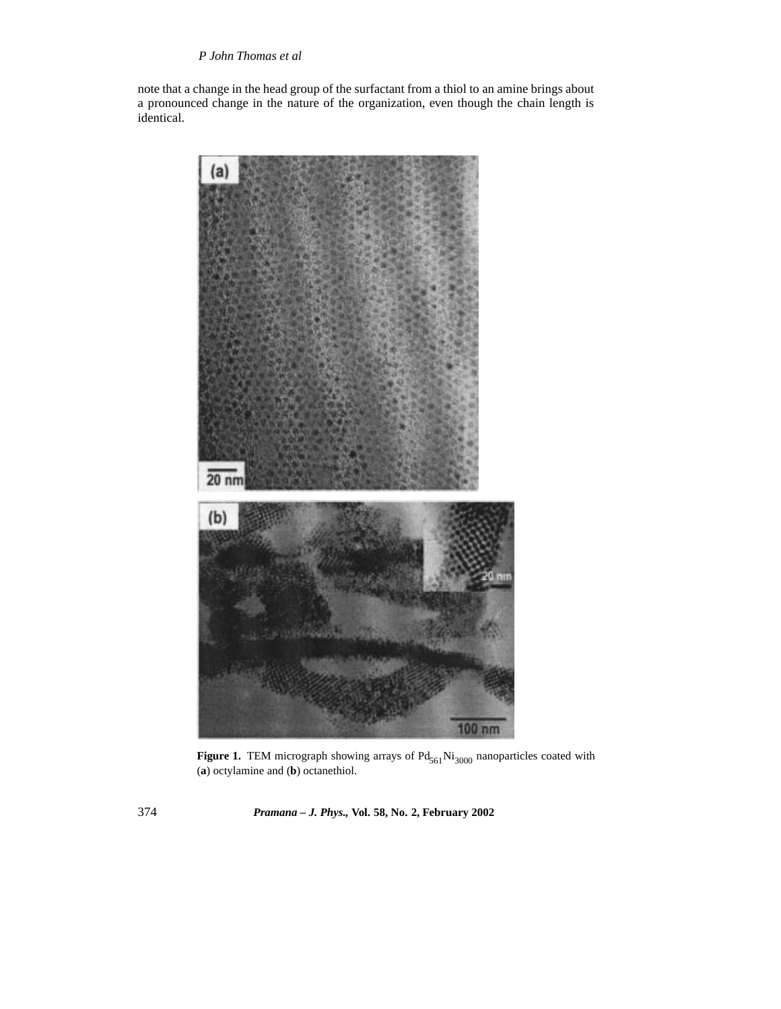# *P John Thomas et al*

note that a change in the head group of the surfactant from a thiol to an amine brings about a pronounced change in the nature of the organization, even though the chain length is identical.



**Figure 1.** TEM micrograph showing arrays of  $Pd_{561}Ni_{3000}$  nanoparticles coated with (**a**) octylamine and (**b**) octanethiol.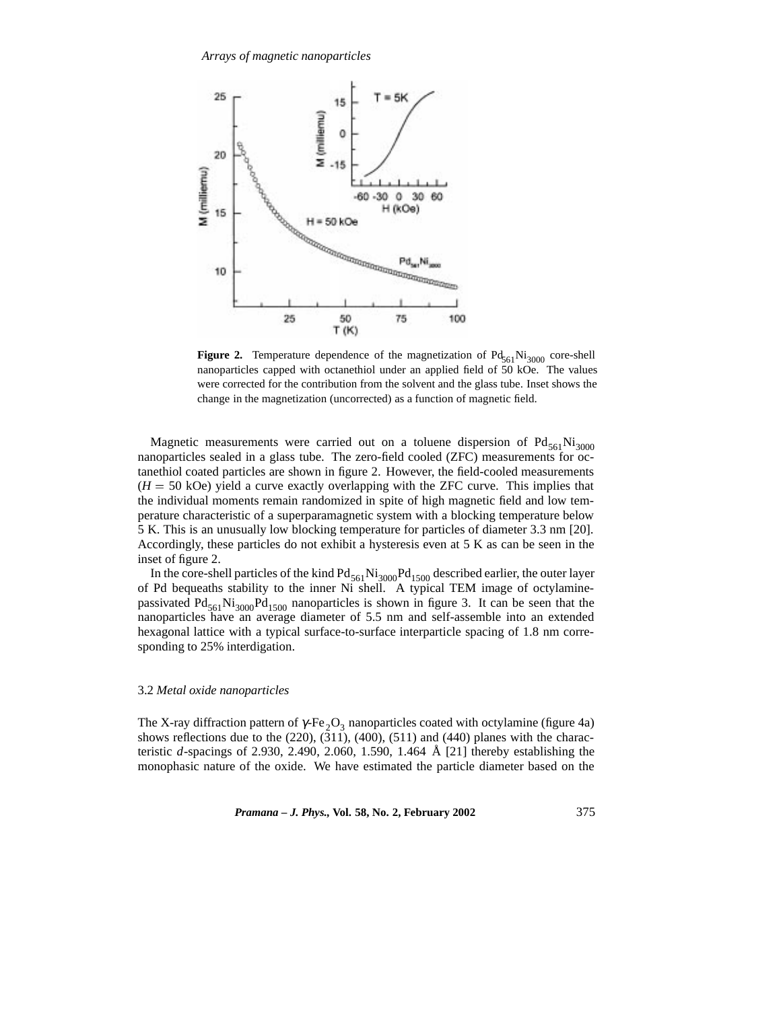

**Figure 2.** Temperature dependence of the magnetization of  $Pd_{561}Ni_{3000}$  core-shell nanoparticles capped with octanethiol under an applied field of 50 kOe. The values were corrected for the contribution from the solvent and the glass tube. Inset shows the change in the magnetization (uncorrected) as a function of magnetic field.

Magnetic measurements were carried out on a toluene dispersion of  $Pd_{561}Ni_{3000}$ nanoparticles sealed in a glass tube. The zero-field cooled (ZFC) measurements for octanethiol coated particles are shown in figure 2. However, the field-cooled measurements  $(H = 50 \text{ kOe})$  yield a curve exactly overlapping with the ZFC curve. This implies that the individual moments remain randomized in spite of high magnetic field and low temperature characteristic of a superparamagnetic system with a blocking temperature below 5 K. This is an unusually low blocking temperature for particles of diameter 3.3 nm [20]. Accordingly, these particles do not exhibit a hysteresis even at 5 K as can be seen in the inset of figure 2.

In the core-shell particles of the kind  $Pd_{561}Ni_{3000}Pd_{1500}$  described earlier, the outer layer of Pd bequeaths stability to the inner Ni shell. A typical TEM image of octylaminepassivated  $Pd_{561}Ni_{3000}Pd_{1500}$  nanoparticles is shown in figure 3. It can be seen that the nanoparticles have an average diameter of 5.5 nm and self-assemble into an extended hexagonal lattice with a typical surface-to-surface interparticle spacing of 1.8 nm corresponding to 25% interdigation.

### 3.2 *Metal oxide nanoparticles*

The X-ray diffraction pattern of  $\gamma$ -Fe<sub>2</sub>O<sub>3</sub> nanoparticles coated with octylamine (figure 4a) shows reflections due to the  $(220)$ ,  $(311)$ ,  $(400)$ ,  $(511)$  and  $(440)$  planes with the characteristic *d*-spacings of 2.930, 2.490, 2.060, 1.590, 1.464 Å [21] thereby establishing the monophasic nature of the oxide. We have estimated the particle diameter based on the

*Pramana – J. Phys.,* **Vol. 58, No. 2, February 2002** 375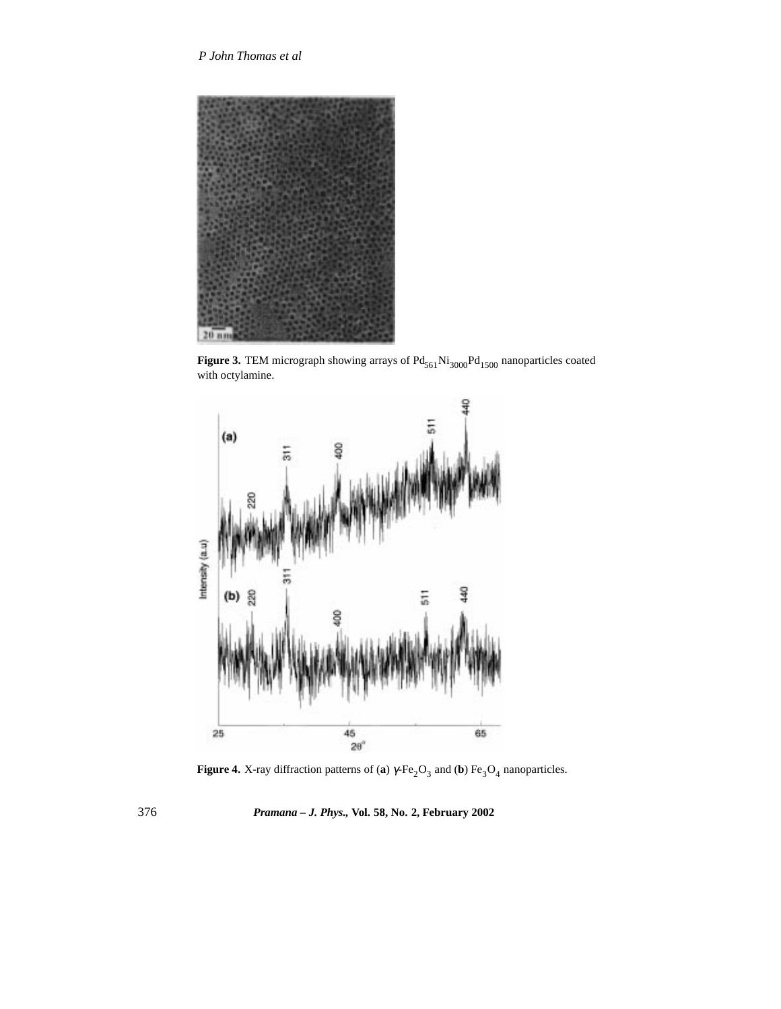

**Figure 3.** TEM micrograph showing arrays of  $Pd_{561}Ni_{3000}Pd_{1500}$  nanoparticles coated with octylamine.



**Figure 4.** X-ray diffraction patterns of (**a**)  $\gamma$ -Fe<sub>2</sub>O<sub>3</sub> and (**b**) Fe<sub>3</sub>O<sub>4</sub> nanoparticles.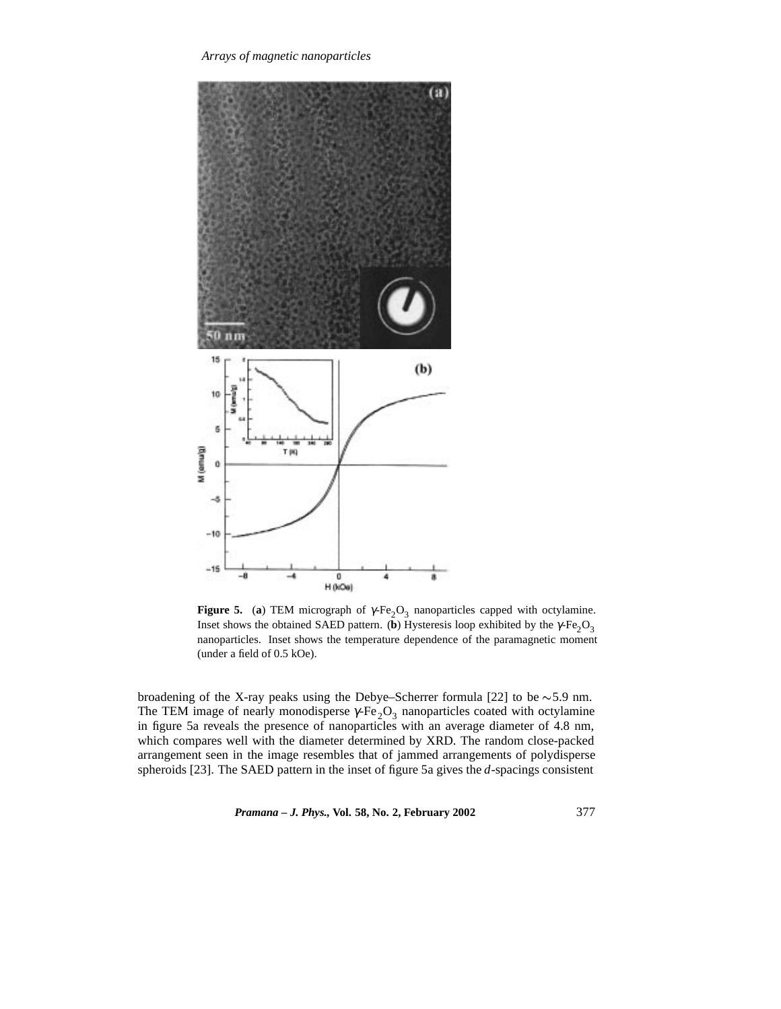

**Figure 5.** (a) TEM micrograph of  $\gamma$ -Fe<sub>2</sub>O<sub>3</sub> nanoparticles capped with octylamine. Inset shows the obtained SAED pattern. (**b**) Hysteresis loop exhibited by the  $\gamma$ -Fe<sub>2</sub>O<sub>3</sub> nanoparticles. Inset shows the temperature dependence of the paramagnetic moment (under a field of 0.5 kOe).

broadening of the X-ray peaks using the Debye–Scherrer formula [22] to be  $\sim$  5.9 nm. The TEM image of nearly monodisperse  $\gamma$ -Fe<sub>2</sub>O<sub>3</sub> nanoparticles coated with octylamine in figure 5a reveals the presence of nanoparticles with an average diameter of 4.8 nm, which compares well with the diameter determined by XRD. The random close-packed arrangement seen in the image resembles that of jammed arrangements of polydisperse spheroids [23]. The SAED pattern in the inset of figure 5a gives the *d*-spacings consistent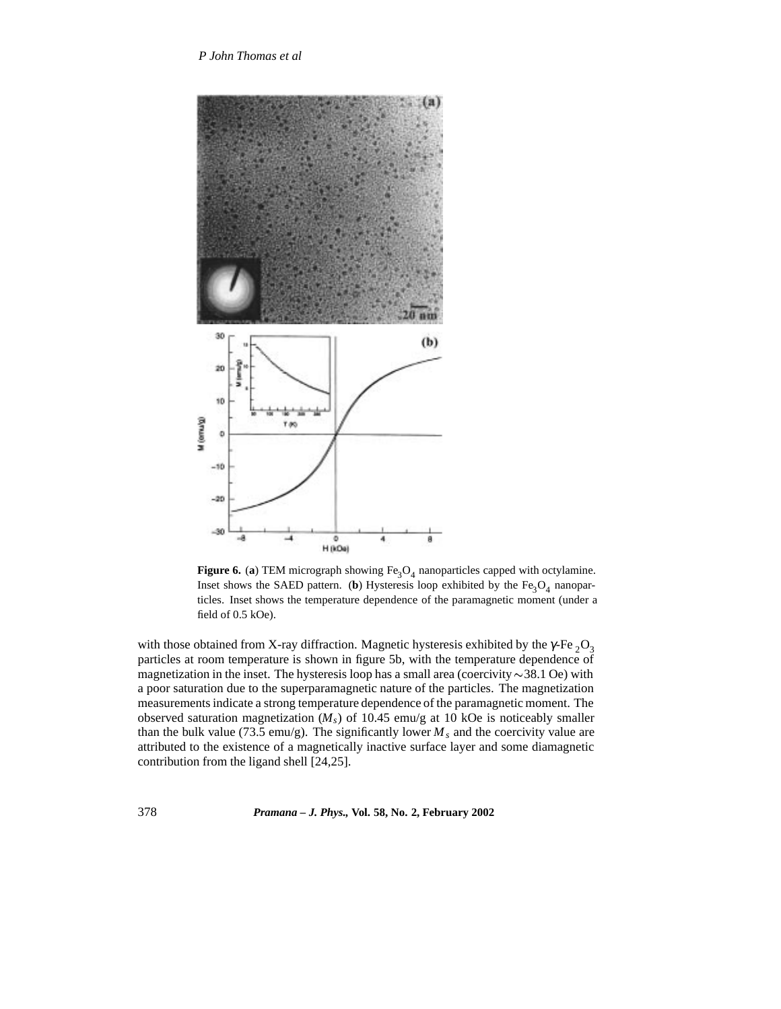

**Figure 6.** (a) TEM micrograph showing  $Fe<sub>3</sub>O<sub>4</sub>$  nanoparticles capped with octylamine. Inset shows the SAED pattern. (**b**) Hysteresis loop exhibited by the  $Fe<sub>3</sub>O<sub>4</sub>$  nanoparticles. Inset shows the temperature dependence of the paramagnetic moment (under a field of 0.5 kOe).

with those obtained from X-ray diffraction. Magnetic hysteresis exhibited by the  $\gamma$ -Fe <sub>2</sub>O<sub>3</sub> particles at room temperature is shown in figure 5b, with the temperature dependence of magnetization in the inset. The hysteresis loop has a small area (coercivity  $\sim$  38.1 Oe) with a poor saturation due to the superparamagnetic nature of the particles. The magnetization measurements indicate a strong temperature dependence of the paramagnetic moment. The observed saturation magnetization (*Ms*) of 10.45 emu/g at 10 kOe is noticeably smaller than the bulk value (73.5 emu/g). The significantly lower  $M_s$  and the coercivity value are attributed to the existence of a magnetically inactive surface layer and some diamagnetic contribution from the ligand shell [24,25].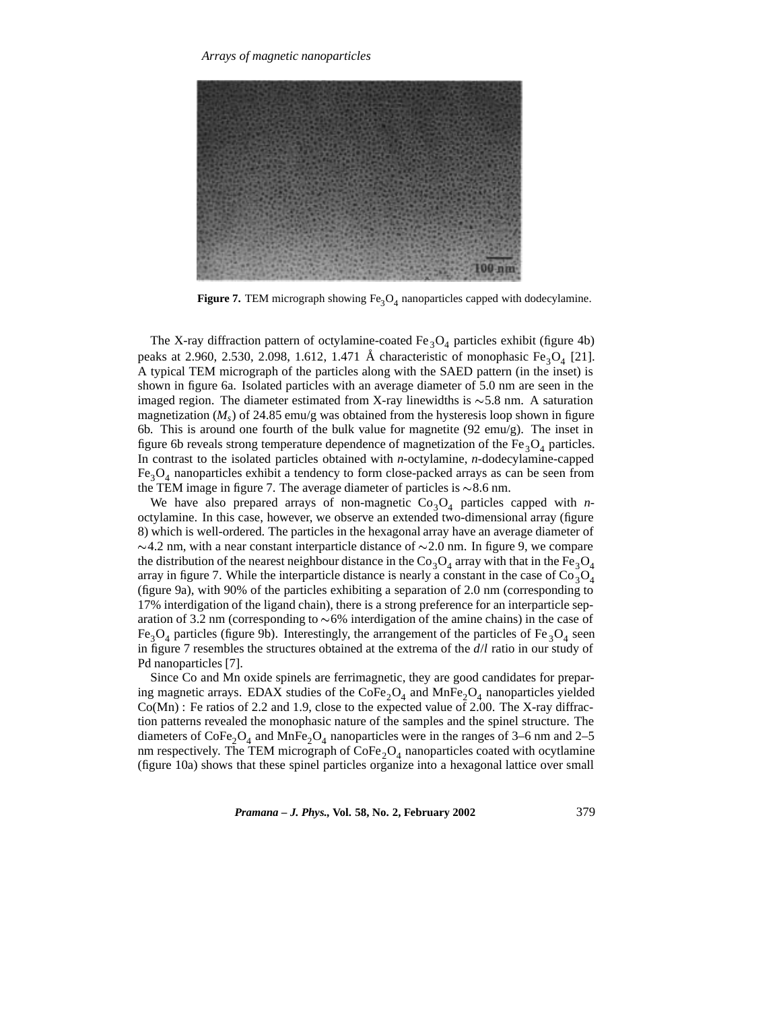

**Figure 7.** TEM micrograph showing  $Fe<sub>3</sub>O<sub>4</sub>$  nanoparticles capped with dodecylamine.

The X-ray diffraction pattern of octylamine-coated  $Fe<sub>3</sub>O<sub>4</sub>$  particles exhibit (figure 4b) peaks at 2.960, 2.530, 2.098, 1.612, 1.471 Å characteristic of monophasic Fe<sub>3</sub>O<sub>4</sub> [21]. A typical TEM micrograph of the particles along with the SAED pattern (in the inset) is shown in figure 6a. Isolated particles with an average diameter of 5.0 nm are seen in the imaged region. The diameter estimated from X-ray linewidths is  $\sim$  5.8 nm. A saturation magnetization ( $M_s$ ) of 24.85 emu/g was obtained from the hysteresis loop shown in figure 6b. This is around one fourth of the bulk value for magnetite (92 emu/g). The inset in figure 6b reveals strong temperature dependence of magnetization of the Fe<sub>3</sub>O<sub>4</sub> particles. In contrast to the isolated particles obtained with *n*-octylamine, *n*-dodecylamine-capped  $Fe<sub>3</sub>O<sub>4</sub>$  nanoparticles exhibit a tendency to form close-packed arrays as can be seen from the TEM image in figure 7. The average diameter of particles is  $\sim$ 8.6 nm.

We have also prepared arrays of non-magnetic  $Co<sub>3</sub>O<sub>4</sub>$  particles capped with *n*octylamine. In this case, however, we observe an extended two-dimensional array (figure 8) which is well-ordered. The particles in the hexagonal array have an average diameter of  $\sim$ 4.2 nm, with a near constant interparticle distance of  $\sim$ 2.0 nm. In figure 9, we compare the distribution of the nearest neighbour distance in the Co<sub>3</sub>O<sub>4</sub> array with that in the Fe<sub>3</sub>O<sub>4</sub> array in figure 7. While the interparticle distance is nearly a constant in the case of  $Co<sub>3</sub>O<sub>4</sub>$ (figure 9a), with 90% of the particles exhibiting a separation of 2.0 nm (corresponding to 17% interdigation of the ligand chain), there is a strong preference for an interparticle separation of 3.2 nm (corresponding to  $\sim 6\%$  interdigation of the amine chains) in the case of  $Fe<sub>3</sub>O<sub>4</sub>$  particles (figure 9b). Interestingly, the arrangement of the particles of Fe  $_3O_4$  seen in figure 7 resembles the structures obtained at the extrema of the *d*/*l* ratio in our study of Pd nanoparticles [7].

Since Co and Mn oxide spinels are ferrimagnetic, they are good candidates for preparing magnetic arrays. EDAX studies of the  $\text{CoFe}_2\text{O}_4$  and  $\text{MnFe}_2\text{O}_4$  nanoparticles yielded Co(Mn) : Fe ratios of 2.2 and 1.9, close to the expected value of 2.00. The X-ray diffraction patterns revealed the monophasic nature of the samples and the spinel structure. The diameters of  $\text{CoFe}_2\text{O}_4$  and  $\text{MnFe}_2\text{O}_4$  nanoparticles were in the ranges of 3–6 nm and 2–5 nm respectively. The TEM micrograph of  $\text{CoFe}_2\text{O}_4$  nanoparticles coated with ocytlamine (figure 10a) shows that these spinel particles organize into a hexagonal lattice over small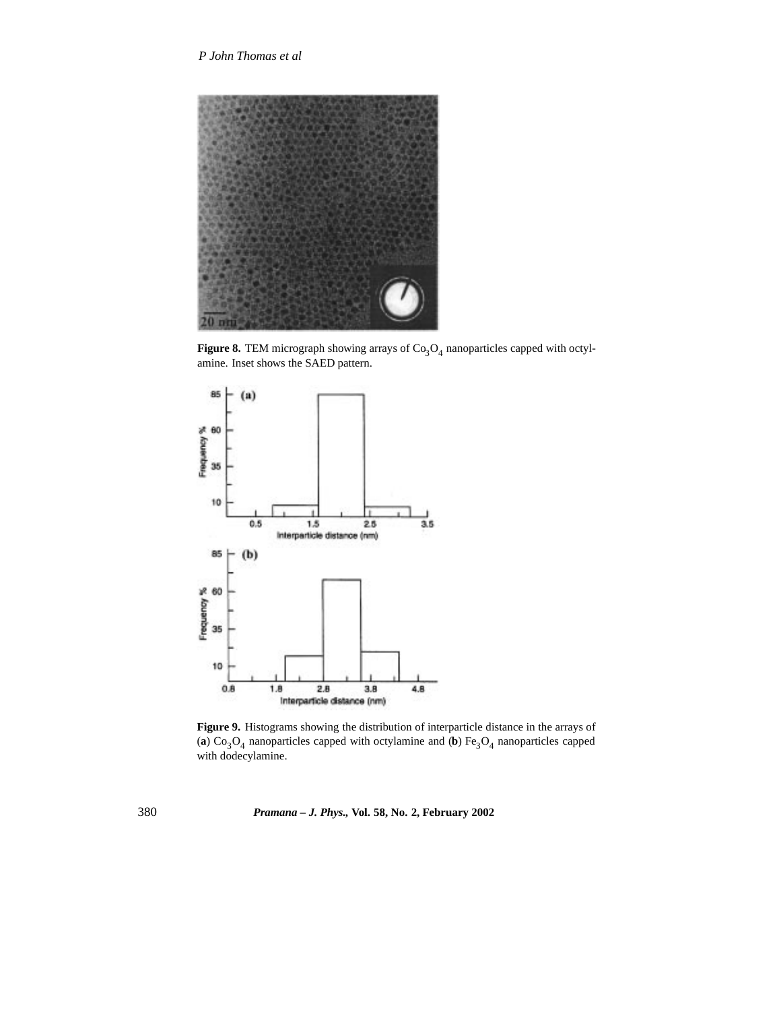

**Figure 8.** TEM micrograph showing arrays of  $Co<sub>3</sub>O<sub>4</sub>$  nanoparticles capped with octylamine. Inset shows the SAED pattern.



**Figure 9.** Histograms showing the distribution of interparticle distance in the arrays of (a)  $Co<sub>3</sub>O<sub>4</sub>$  nanoparticles capped with octylamine and (b)  $Fe<sub>3</sub>O<sub>4</sub>$  nanoparticles capped with dodecylamine.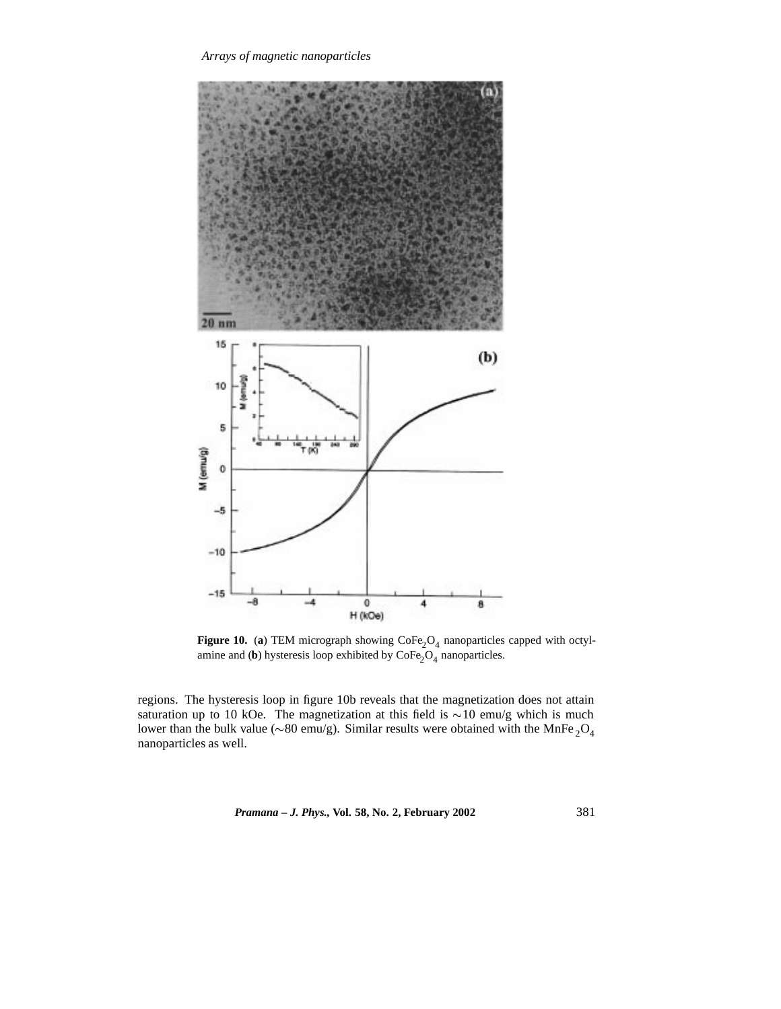*Arrays of magnetic nanoparticles*



**Figure 10.** (a) TEM micrograph showing  $\text{CoFe}_2\text{O}_4$  nanoparticles capped with octylamine and (**b**) hysteresis loop exhibited by  $\text{CoFe}_2\text{O}_4$  nanoparticles.

regions. The hysteresis loop in figure 10b reveals that the magnetization does not attain saturation up to 10 kOe. The magnetization at this field is  $\sim$ 10 emu/g which is much lower than the bulk value ( $\sim 80$  emu/g). Similar results were obtained with the MnFe  $_2O_4$ nanoparticles as well.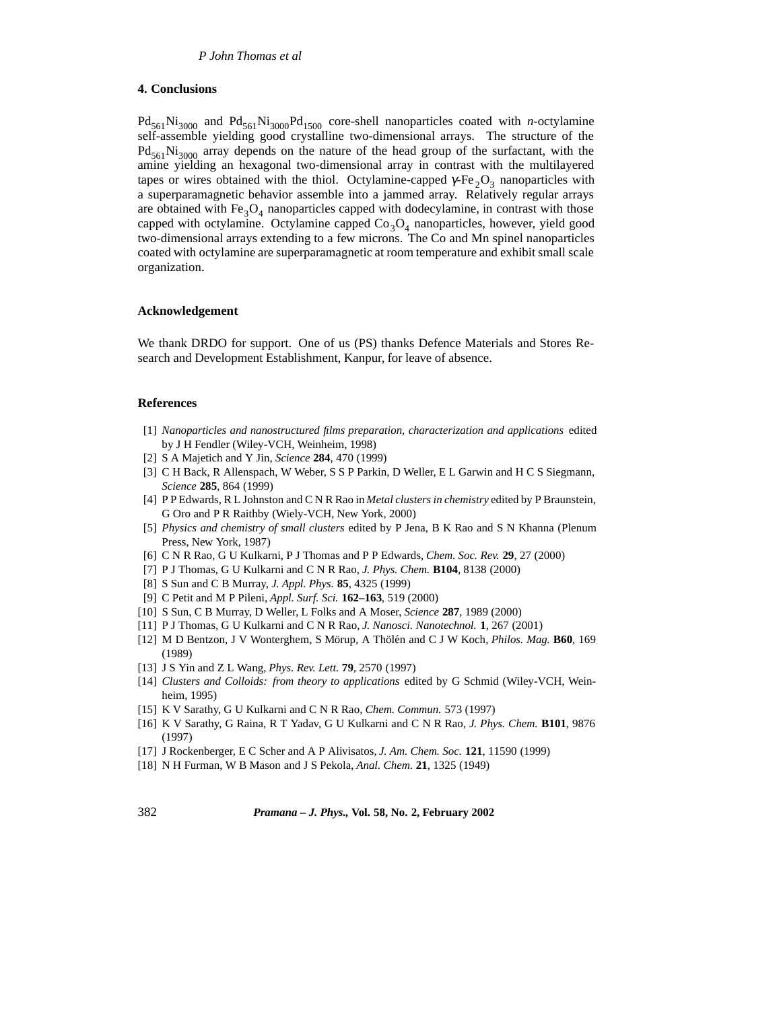### **4. Conclusions**

 $Pd_{561}Ni_{3000}$  and  $Pd_{561}Ni_{3000}Pd_{1500}$  core-shell nanoparticles coated with *n*-octylamine self-assemble yielding good crystalline two-dimensional arrays. The structure of the  $Pd_{561}Ni_{3000}$  array depends on the nature of the head group of the surfactant, with the amine yielding an hexagonal two-dimensional array in contrast with the multilayered tapes or wires obtained with the thiol. Octylamine-capped  $\gamma$ -Fe<sub>2</sub>O<sub>3</sub> nanoparticles with a superparamagnetic behavior assemble into a jammed array. Relatively regular arrays are obtained with  $Fe<sub>3</sub>O<sub>4</sub>$  nanoparticles capped with dodecylamine, in contrast with those capped with octylamine. Octylamine capped  $Co<sub>3</sub>O<sub>4</sub>$  nanoparticles, however, yield good two-dimensional arrays extending to a few microns. The Co and Mn spinel nanoparticles coated with octylamine are superparamagnetic at room temperature and exhibit small scale organization.

### **Acknowledgement**

We thank DRDO for support. One of us (PS) thanks Defence Materials and Stores Research and Development Establishment, Kanpur, for leave of absence.

### **References**

- [1] *Nanoparticles and nanostructured films preparation, characterization and applications* edited by J H Fendler (Wiley-VCH, Weinheim, 1998)
- [2] S A Majetich and Y Jin, *Science* **284**, 470 (1999)
- [3] C H Back, R Allenspach, W Weber, S S P Parkin, D Weller, E L Garwin and H C S Siegmann, *Science* **285**, 864 (1999)
- [4] P P Edwards, R L Johnston and C N R Rao in *Metal clusters in chemistry* edited by P Braunstein, G Oro and P R Raithby (Wiely-VCH, New York, 2000)
- [5] *Physics and chemistry of small clusters* edited by P Jena, B K Rao and S N Khanna (Plenum Press, New York, 1987)
- [6] C N R Rao, G U Kulkarni, P J Thomas and P P Edwards, *Chem. Soc. Rev.* **29**, 27 (2000)
- [7] P J Thomas, G U Kulkarni and C N R Rao, *J. Phys. Chem.* **B104**, 8138 (2000)
- [8] S Sun and C B Murray, *J. Appl. Phys.* **85**, 4325 (1999)
- [9] C Petit and M P Pileni, *Appl. Surf. Sci.* **162–163**, 519 (2000)
- [10] S Sun, C B Murray, D Weller, L Folks and A Moser, *Science* **287**, 1989 (2000)
- [11] P J Thomas, G U Kulkarni and C N R Rao, *J. Nanosci. Nanotechnol.* **1**, 267 (2001)
- [12] M D Bentzon, J V Wonterghem, S Mörup, A Thölén and C J W Koch, *Philos. Mag.* **B60**, 169 (1989)
- [13] J S Yin and Z L Wang, *Phys. Rev. Lett.* **79**, 2570 (1997)
- [14] *Clusters and Colloids: from theory to applications* edited by G Schmid (Wiley-VCH, Weinheim, 1995)
- [15] K V Sarathy, G U Kulkarni and C N R Rao, *Chem. Commun.* 573 (1997)
- [16] K V Sarathy, G Raina, R T Yadav, G U Kulkarni and C N R Rao, *J. Phys. Chem.* **B101**, 9876 (1997)
- [17] J Rockenberger, E C Scher and A P Alivisatos, *J. Am. Chem. Soc.* **121**, 11590 (1999)
- [18] N H Furman, W B Mason and J S Pekola, *Anal. Chem.* **21**, 1325 (1949)